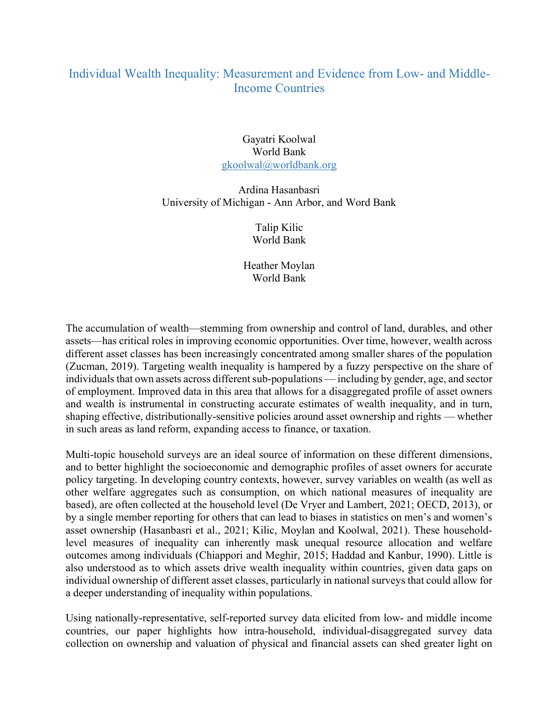## Individual Wealth Inequality: Measurement and Evidence from Low- and Middle-Income Countries

## Gayatri Koolwal World Bank gkoolwal@worldbank.org

## Ardina Hasanbasri University of Michigan - Ann Arbor, and Word Bank

Talip Kilic World Bank

Heather Moylan World Bank

The accumulation of wealth—stemming from ownership and control of land, durables, and other assets—has critical roles in improving economic opportunities. Over time, however, wealth across different asset classes has been increasingly concentrated among smaller shares of the population (Zucman, 2019). Targeting wealth inequality is hampered by a fuzzy perspective on the share of individuals that own assets across different sub-populations — including by gender, age, and sector of employment. Improved data in this area that allows for a disaggregated profile of asset owners and wealth is instrumental in constructing accurate estimates of wealth inequality, and in turn, shaping effective, distributionally-sensitive policies around asset ownership and rights — whether in such areas as land reform, expanding access to finance, or taxation.

Multi-topic household surveys are an ideal source of information on these different dimensions, and to better highlight the socioeconomic and demographic profiles of asset owners for accurate policy targeting. In developing country contexts, however, survey variables on wealth (as well as other welfare aggregates such as consumption, on which national measures of inequality are based), are often collected at the household level (De Vryer and Lambert, 2021; OECD, 2013), or by a single member reporting for others that can lead to biases in statistics on men's and women's asset ownership (Hasanbasri et al., 2021; Kilic, Moylan and Koolwal, 2021). These householdlevel measures of inequality can inherently mask unequal resource allocation and welfare outcomes among individuals (Chiappori and Meghir, 2015; Haddad and Kanbur, 1990). Little is also understood as to which assets drive wealth inequality within countries, given data gaps on individual ownership of different asset classes, particularly in national surveys that could allow for a deeper understanding of inequality within populations.

Using nationally-representative, self-reported survey data elicited from low- and middle income countries, our paper highlights how intra-household, individual-disaggregated survey data collection on ownership and valuation of physical and financial assets can shed greater light on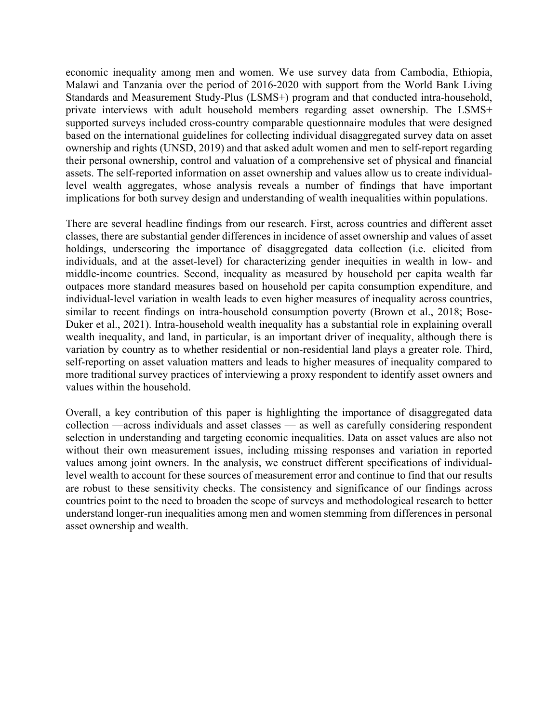economic inequality among men and women. We use survey data from Cambodia, Ethiopia, Malawi and Tanzania over the period of 2016-2020 with support from the World Bank Living Standards and Measurement Study-Plus (LSMS+) program and that conducted intra-household, private interviews with adult household members regarding asset ownership. The LSMS+ supported surveys included cross-country comparable questionnaire modules that were designed based on the international guidelines for collecting individual disaggregated survey data on asset ownership and rights (UNSD, 2019) and that asked adult women and men to self-report regarding their personal ownership, control and valuation of a comprehensive set of physical and financial assets. The self-reported information on asset ownership and values allow us to create individuallevel wealth aggregates, whose analysis reveals a number of findings that have important implications for both survey design and understanding of wealth inequalities within populations.

There are several headline findings from our research. First, across countries and different asset classes, there are substantial gender differences in incidence of asset ownership and values of asset holdings, underscoring the importance of disaggregated data collection (i.e. elicited from individuals, and at the asset-level) for characterizing gender inequities in wealth in low- and middle-income countries. Second, inequality as measured by household per capita wealth far outpaces more standard measures based on household per capita consumption expenditure, and individual-level variation in wealth leads to even higher measures of inequality across countries, similar to recent findings on intra-household consumption poverty (Brown et al., 2018; Bose-Duker et al., 2021). Intra-household wealth inequality has a substantial role in explaining overall wealth inequality, and land, in particular, is an important driver of inequality, although there is variation by country as to whether residential or non-residential land plays a greater role. Third, self-reporting on asset valuation matters and leads to higher measures of inequality compared to more traditional survey practices of interviewing a proxy respondent to identify asset owners and values within the household.

Overall, a key contribution of this paper is highlighting the importance of disaggregated data collection —across individuals and asset classes — as well as carefully considering respondent selection in understanding and targeting economic inequalities. Data on asset values are also not without their own measurement issues, including missing responses and variation in reported values among joint owners. In the analysis, we construct different specifications of individuallevel wealth to account for these sources of measurement error and continue to find that our results are robust to these sensitivity checks. The consistency and significance of our findings across countries point to the need to broaden the scope of surveys and methodological research to better understand longer-run inequalities among men and women stemming from differences in personal asset ownership and wealth.